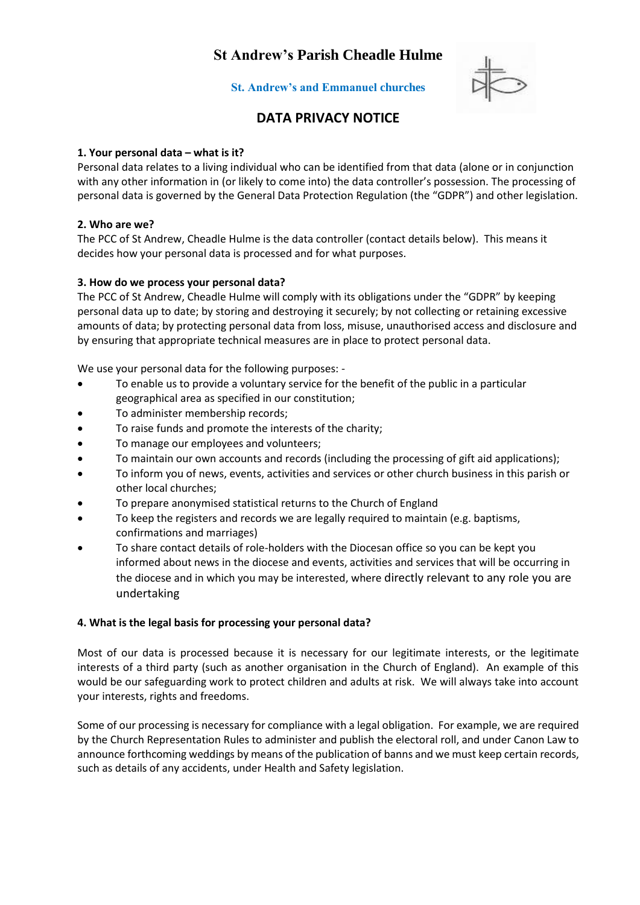# **St Andrew's Parish Cheadle Hulme**

**St. Andrew's and Emmanuel churches**



## **DATA PRIVACY NOTICE**

#### **1. Your personal data – what is it?**

Personal data relates to a living individual who can be identified from that data (alone or in conjunction with any other information in (or likely to come into) the data controller's possession. The processing of personal data is governed by the General Data Protection Regulation (the "GDPR") and other legislation.

### **2. Who are we?**

The PCC of St Andrew, Cheadle Hulme is the data controller (contact details below). This means it decides how your personal data is processed and for what purposes.

### **3. How do we process your personal data?**

The PCC of St Andrew, Cheadle Hulme will comply with its obligations under the "GDPR" by keeping personal data up to date; by storing and destroying it securely; by not collecting or retaining excessive amounts of data; by protecting personal data from loss, misuse, unauthorised access and disclosure and by ensuring that appropriate technical measures are in place to protect personal data.

We use your personal data for the following purposes: -

- To enable us to provide a voluntary service for the benefit of the public in a particular geographical area as specified in our constitution;
- To administer membership records;
- To raise funds and promote the interests of the charity;
- To manage our employees and volunteers;
- To maintain our own accounts and records (including the processing of gift aid applications);
- To inform you of news, events, activities and services or other church business in this parish or other local churches;
- To prepare anonymised statistical returns to the Church of England
- To keep the registers and records we are legally required to maintain (e.g. baptisms, confirmations and marriages)
- To share contact details of role-holders with the Diocesan office so you can be kept you informed about news in the diocese and events, activities and services that will be occurring in the diocese and in which you may be interested, where directly relevant to any role you are undertaking

#### **4. What is the legal basis for processing your personal data?**

Most of our data is processed because it is necessary for our legitimate interests, or the legitimate interests of a third party (such as another organisation in the Church of England). An example of this would be our safeguarding work to protect children and adults at risk. We will always take into account your interests, rights and freedoms.

Some of our processing is necessary for compliance with a legal obligation. For example, we are required by the Church Representation Rules to administer and publish the electoral roll, and under Canon Law to announce forthcoming weddings by means of the publication of banns and we must keep certain records, such as details of any accidents, under Health and Safety legislation.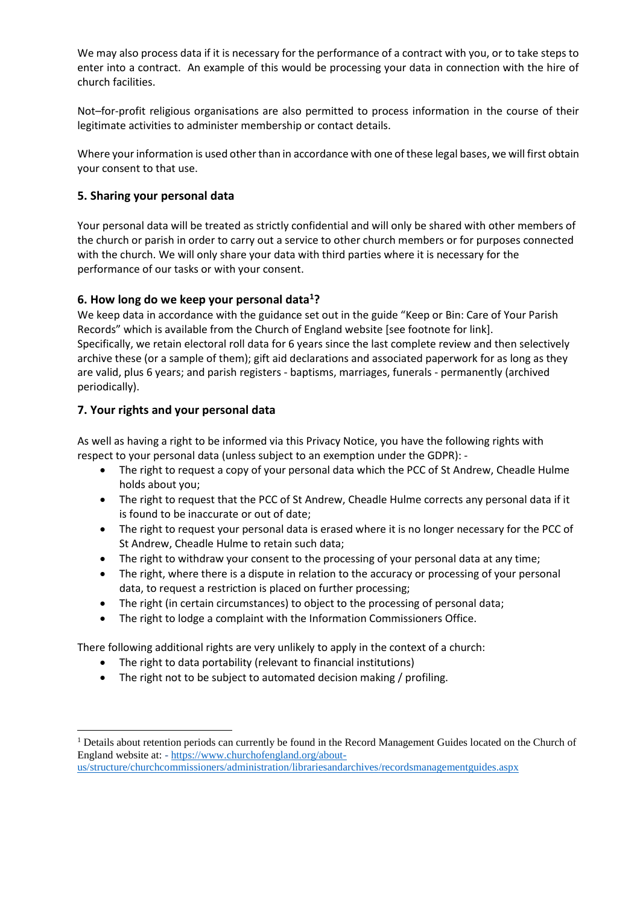We may also process data if it is necessary for the performance of a contract with you, or to take steps to enter into a contract. An example of this would be processing your data in connection with the hire of church facilities.

Not–for-profit religious organisations are also permitted to process information in the course of their legitimate activities to administer membership or contact details.

Where your information is used other than in accordance with one of these legal bases, we will first obtain your consent to that use.

### **5. Sharing your personal data**

Your personal data will be treated as strictly confidential and will only be shared with other members of the church or parish in order to carry out a service to other church members or for purposes connected with the church. We will only share your data with third parties where it is necessary for the performance of our tasks or with your consent.

### **6. How long do we keep your personal data<sup>1</sup>?**

We keep data in accordance with the guidance set out in the guide "Keep or Bin: Care of Your Parish Records" which is available from the Church of England website [see footnote for link]. Specifically, we retain electoral roll data for 6 years since the last complete review and then selectively archive these (or a sample of them); gift aid declarations and associated paperwork for as long as they are valid, plus 6 years; and parish registers - baptisms, marriages, funerals - permanently (archived periodically).

### **7. Your rights and your personal data**

1

As well as having a right to be informed via this Privacy Notice, you have the following rights with respect to your personal data (unless subject to an exemption under the GDPR): -

- The right to request a copy of your personal data which the PCC of St Andrew, Cheadle Hulme holds about you;
- The right to request that the PCC of St Andrew, Cheadle Hulme corrects any personal data if it is found to be inaccurate or out of date;
- The right to request your personal data is erased where it is no longer necessary for the PCC of St Andrew, Cheadle Hulme to retain such data;
- The right to withdraw your consent to the processing of your personal data at any time;
- The right, where there is a dispute in relation to the accuracy or processing of your personal data, to request a restriction is placed on further processing;
- The right (in certain circumstances) to object to the processing of personal data;
- The right to lodge a complaint with the Information Commissioners Office.

There following additional rights are very unlikely to apply in the context of a church:

- The right to data portability (relevant to financial institutions)
- The right not to be subject to automated decision making / profiling.

<sup>&</sup>lt;sup>1</sup> Details about retention periods can currently be found in the Record Management Guides located on the Church of England website at: - [https://www.churchofengland.org/about-](https://www.churchofengland.org/about-us/structure/churchcommissioners/administration/librariesandarchives/recordsmanagementguides.aspx)

[us/structure/churchcommissioners/administration/librariesandarchives/recordsmanagementguides.aspx](https://www.churchofengland.org/about-us/structure/churchcommissioners/administration/librariesandarchives/recordsmanagementguides.aspx)